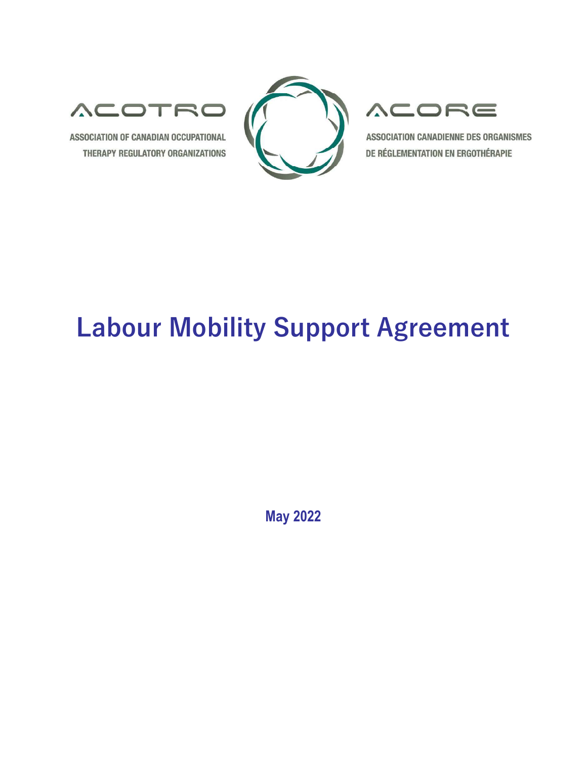

ASSOCIATION OF CANADIAN OCCUPATIONAL THERAPY REGULATORY ORGANIZATIONS



## **ACORE**

**ASSOCIATION CANADIENNE DES ORGANISMES** DE RÉGLEMENTATION EN ERGOTHÉRAPIE

# Labour Mobility Support Agreement

May 2022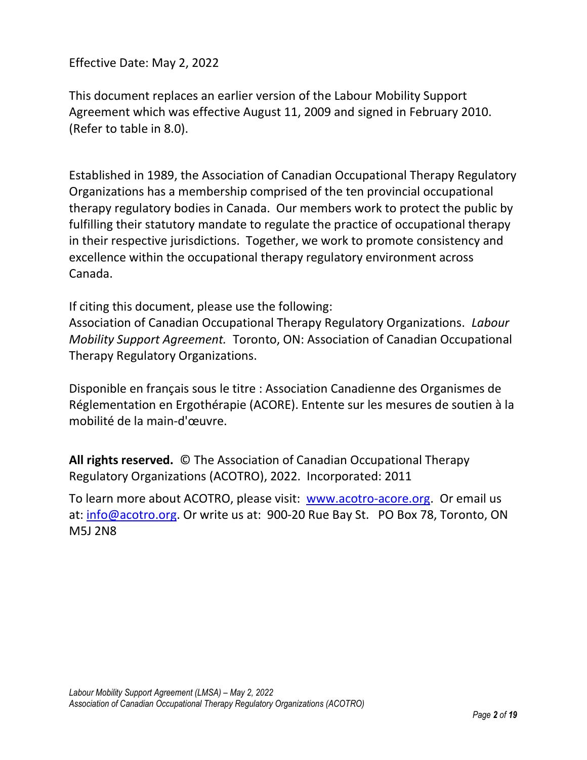Effective Date: May 2, 2022

This document replaces an earlier version of the Labour Mobility Support Agreement which was effective August 11, 2009 and signed in February 2010. (Refer to table in 8.0).

Established in 1989, the Association of Canadian Occupational Therapy Regulatory Organizations has a membership comprised of the ten provincial occupational therapy regulatory bodies in Canada. Our members work to protect the public by fulfilling their statutory mandate to regulate the practice of occupational therapy in their respective jurisdictions. Together, we work to promote consistency and excellence within the occupational therapy regulatory environment across Canada.

If citing this document, please use the following:

Association of Canadian Occupational Therapy Regulatory Organizations. Labour Mobility Support Agreement. Toronto, ON: Association of Canadian Occupational Therapy Regulatory Organizations.

Disponible en français sous le titre : Association Canadienne des Organismes de Réglementation en Ergothérapie (ACORE). Entente sur les mesures de soutien à la mobilité de la main-d'œuvre.

All rights reserved. © The Association of Canadian Occupational Therapy Regulatory Organizations (ACOTRO), 2022. Incorporated: 2011

To learn more about ACOTRO, please visit: www.acotro-acore.org. Or email us at: info@acotro.org. Or write us at: 900-20 Rue Bay St. PO Box 78, Toronto, ON M5J 2N8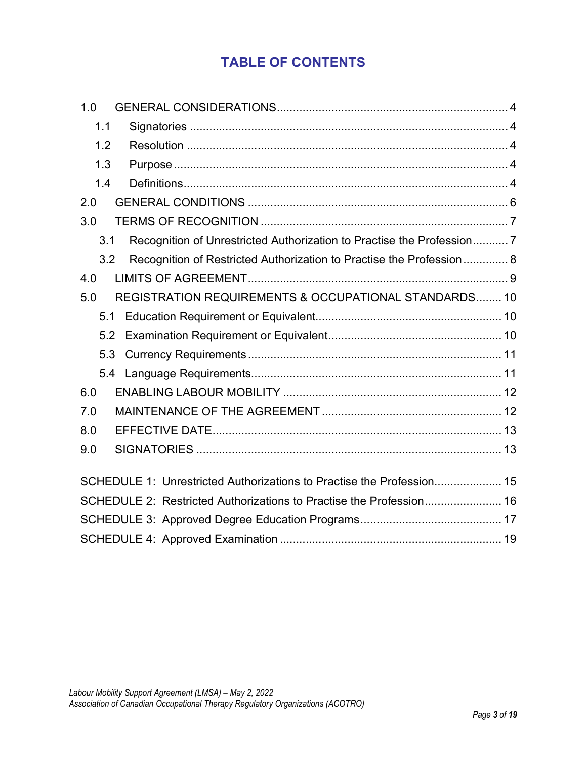## TABLE OF CONTENTS

| 1.0                                                                          |  |
|------------------------------------------------------------------------------|--|
| 1.1                                                                          |  |
| 1.2                                                                          |  |
| 1.3                                                                          |  |
| 1.4                                                                          |  |
| 2.0                                                                          |  |
| 3.0                                                                          |  |
| Recognition of Unrestricted Authorization to Practise the Profession7<br>3.1 |  |
| 3.2<br>Recognition of Restricted Authorization to Practise the Profession 8  |  |
| 4.0                                                                          |  |
| REGISTRATION REQUIREMENTS & OCCUPATIONAL STANDARDS 10<br>5.0                 |  |
| 5.1                                                                          |  |
| 5.2                                                                          |  |
| 5.3                                                                          |  |
|                                                                              |  |
| 6.0                                                                          |  |
| 7.0                                                                          |  |
| 8.0                                                                          |  |
| 9.0                                                                          |  |
|                                                                              |  |
| SCHEDULE 1: Unrestricted Authorizations to Practise the Profession 15        |  |
| SCHEDULE 2: Restricted Authorizations to Practise the Profession 16          |  |
|                                                                              |  |
|                                                                              |  |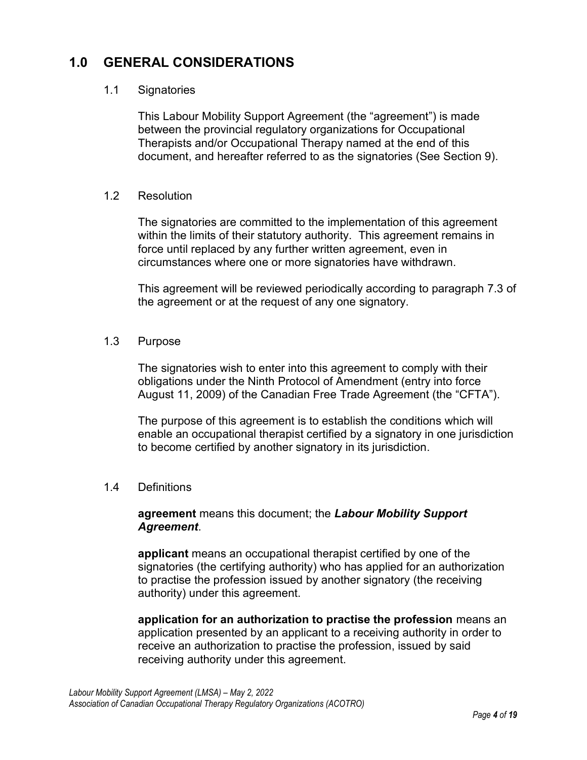#### 1.0 GENERAL CONSIDERATIONS

#### 1.1 Signatories

This Labour Mobility Support Agreement (the "agreement") is made between the provincial regulatory organizations for Occupational Therapists and/or Occupational Therapy named at the end of this document, and hereafter referred to as the signatories (See Section 9).

#### 1.2 Resolution

The signatories are committed to the implementation of this agreement within the limits of their statutory authority. This agreement remains in force until replaced by any further written agreement, even in circumstances where one or more signatories have withdrawn.

This agreement will be reviewed periodically according to paragraph 7.3 of the agreement or at the request of any one signatory.

#### 1.3 Purpose

The signatories wish to enter into this agreement to comply with their obligations under the Ninth Protocol of Amendment (entry into force August 11, 2009) of the Canadian Free Trade Agreement (the "CFTA").

The purpose of this agreement is to establish the conditions which will enable an occupational therapist certified by a signatory in one jurisdiction to become certified by another signatory in its jurisdiction.

#### 1.4 Definitions

#### agreement means this document; the Labour Mobility Support Agreement.

applicant means an occupational therapist certified by one of the signatories (the certifying authority) who has applied for an authorization to practise the profession issued by another signatory (the receiving authority) under this agreement.

application for an authorization to practise the profession means an application presented by an applicant to a receiving authority in order to receive an authorization to practise the profession, issued by said receiving authority under this agreement.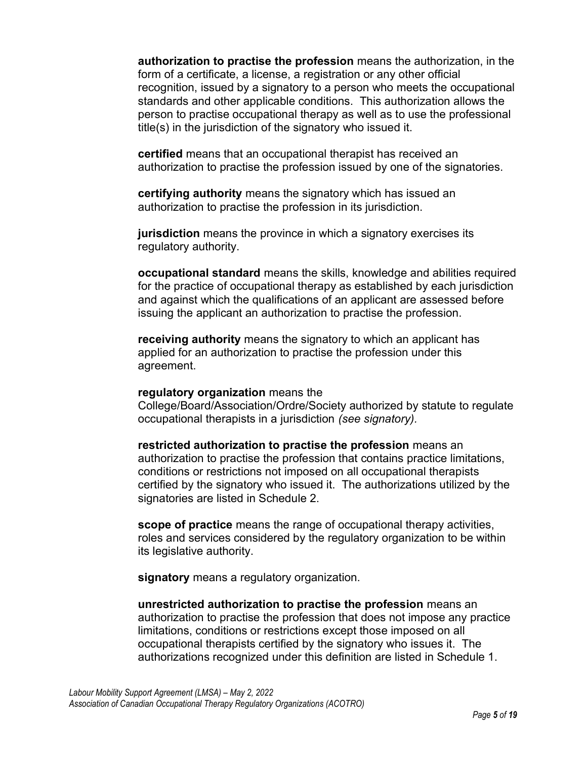authorization to practise the profession means the authorization, in the form of a certificate, a license, a registration or any other official recognition, issued by a signatory to a person who meets the occupational standards and other applicable conditions. This authorization allows the person to practise occupational therapy as well as to use the professional title(s) in the jurisdiction of the signatory who issued it.

certified means that an occupational therapist has received an authorization to practise the profession issued by one of the signatories.

certifying authority means the signatory which has issued an authorization to practise the profession in its jurisdiction.

jurisdiction means the province in which a signatory exercises its regulatory authority.

occupational standard means the skills, knowledge and abilities required for the practice of occupational therapy as established by each jurisdiction and against which the qualifications of an applicant are assessed before issuing the applicant an authorization to practise the profession.

receiving authority means the signatory to which an applicant has applied for an authorization to practise the profession under this agreement.

#### regulatory organization means the

College/Board/Association/Ordre/Society authorized by statute to regulate occupational therapists in a jurisdiction (see signatory).

restricted authorization to practise the profession means an authorization to practise the profession that contains practice limitations, conditions or restrictions not imposed on all occupational therapists certified by the signatory who issued it. The authorizations utilized by the signatories are listed in Schedule 2.

scope of practice means the range of occupational therapy activities, roles and services considered by the regulatory organization to be within its legislative authority.

signatory means a regulatory organization.

unrestricted authorization to practise the profession means an authorization to practise the profession that does not impose any practice limitations, conditions or restrictions except those imposed on all occupational therapists certified by the signatory who issues it. The authorizations recognized under this definition are listed in Schedule 1.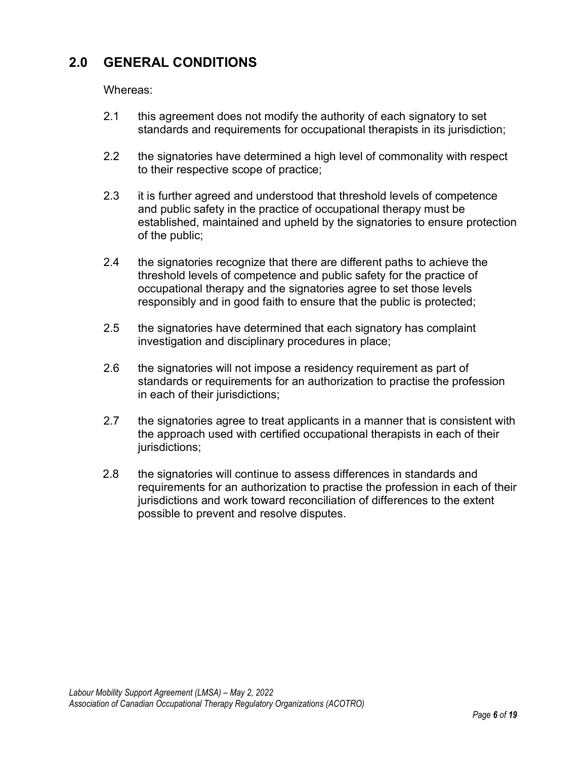## 2.0 GENERAL CONDITIONS

Whereas:

- 2.1 this agreement does not modify the authority of each signatory to set standards and requirements for occupational therapists in its jurisdiction;
- 2.2 the signatories have determined a high level of commonality with respect to their respective scope of practice;
- 2.3 it is further agreed and understood that threshold levels of competence and public safety in the practice of occupational therapy must be established, maintained and upheld by the signatories to ensure protection of the public;
- 2.4 the signatories recognize that there are different paths to achieve the threshold levels of competence and public safety for the practice of occupational therapy and the signatories agree to set those levels responsibly and in good faith to ensure that the public is protected;
- 2.5 the signatories have determined that each signatory has complaint investigation and disciplinary procedures in place;
- 2.6 the signatories will not impose a residency requirement as part of standards or requirements for an authorization to practise the profession in each of their jurisdictions;
- 2.7 the signatories agree to treat applicants in a manner that is consistent with the approach used with certified occupational therapists in each of their jurisdictions;
- 2.8 the signatories will continue to assess differences in standards and requirements for an authorization to practise the profession in each of their jurisdictions and work toward reconciliation of differences to the extent possible to prevent and resolve disputes.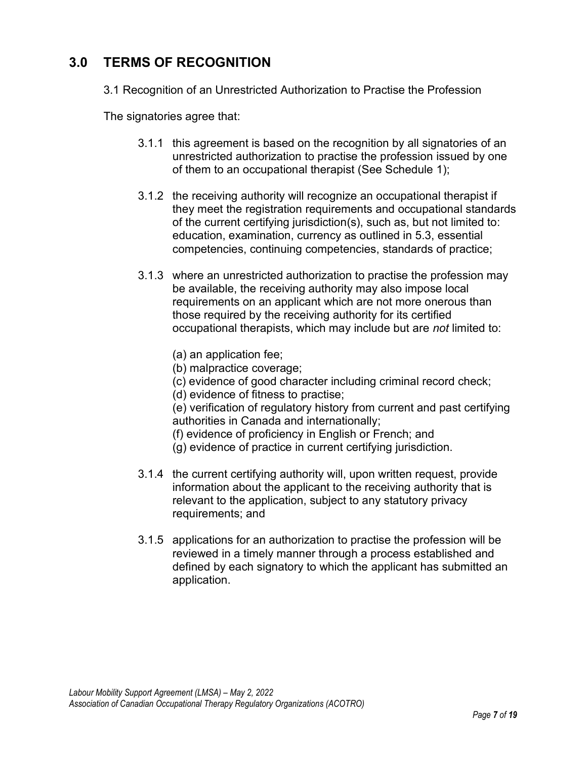## 3.0 TERMS OF RECOGNITION

3.1 Recognition of an Unrestricted Authorization to Practise the Profession

The signatories agree that:

- 3.1.1 this agreement is based on the recognition by all signatories of an unrestricted authorization to practise the profession issued by one of them to an occupational therapist (See Schedule 1);
- 3.1.2 the receiving authority will recognize an occupational therapist if they meet the registration requirements and occupational standards of the current certifying jurisdiction(s), such as, but not limited to: education, examination, currency as outlined in 5.3, essential competencies, continuing competencies, standards of practice;
- 3.1.3 where an unrestricted authorization to practise the profession may be available, the receiving authority may also impose local requirements on an applicant which are not more onerous than those required by the receiving authority for its certified occupational therapists, which may include but are not limited to:
	- (a) an application fee;
	- (b) malpractice coverage;
	- (c) evidence of good character including criminal record check;
	- (d) evidence of fitness to practise;

(e) verification of regulatory history from current and past certifying authorities in Canada and internationally;

- (f) evidence of proficiency in English or French; and
- (g) evidence of practice in current certifying jurisdiction.
- 3.1.4 the current certifying authority will, upon written request, provide information about the applicant to the receiving authority that is relevant to the application, subject to any statutory privacy requirements; and
- 3.1.5 applications for an authorization to practise the profession will be reviewed in a timely manner through a process established and defined by each signatory to which the applicant has submitted an application.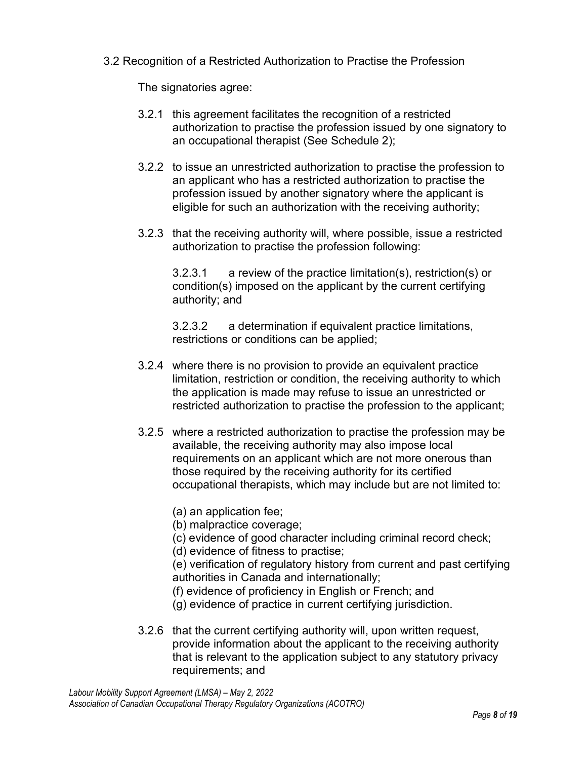#### 3.2 Recognition of a Restricted Authorization to Practise the Profession

The signatories agree:

- 3.2.1 this agreement facilitates the recognition of a restricted authorization to practise the profession issued by one signatory to an occupational therapist (See Schedule 2);
- 3.2.2 to issue an unrestricted authorization to practise the profession to an applicant who has a restricted authorization to practise the profession issued by another signatory where the applicant is eligible for such an authorization with the receiving authority;
- 3.2.3 that the receiving authority will, where possible, issue a restricted authorization to practise the profession following:

3.2.3.1 a review of the practice limitation(s), restriction(s) or condition(s) imposed on the applicant by the current certifying authority; and

3.2.3.2 a determination if equivalent practice limitations, restrictions or conditions can be applied;

- 3.2.4 where there is no provision to provide an equivalent practice limitation, restriction or condition, the receiving authority to which the application is made may refuse to issue an unrestricted or restricted authorization to practise the profession to the applicant;
- 3.2.5 where a restricted authorization to practise the profession may be available, the receiving authority may also impose local requirements on an applicant which are not more onerous than those required by the receiving authority for its certified occupational therapists, which may include but are not limited to:
	- (a) an application fee;
	- (b) malpractice coverage;
	- (c) evidence of good character including criminal record check;
	- (d) evidence of fitness to practise;

(e) verification of regulatory history from current and past certifying authorities in Canada and internationally;

- (f) evidence of proficiency in English or French; and
- (g) evidence of practice in current certifying jurisdiction.
- 3.2.6 that the current certifying authority will, upon written request, provide information about the applicant to the receiving authority that is relevant to the application subject to any statutory privacy requirements; and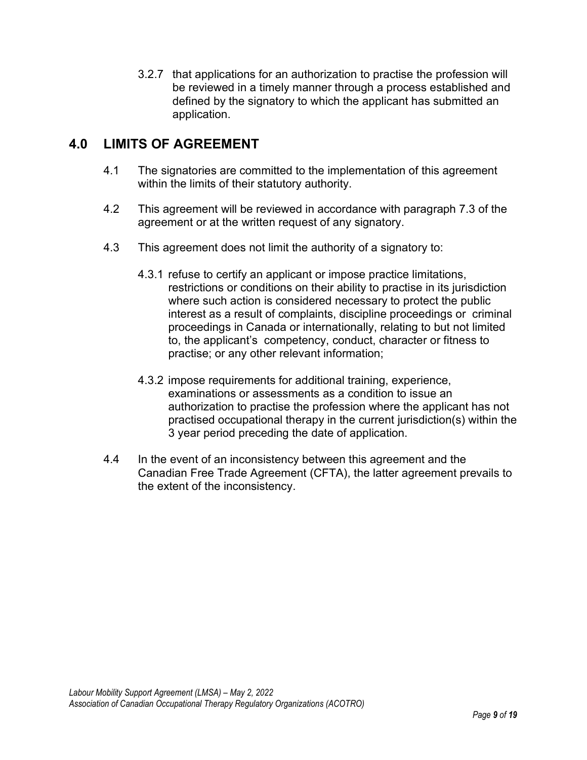3.2.7 that applications for an authorization to practise the profession will be reviewed in a timely manner through a process established and defined by the signatory to which the applicant has submitted an application.

#### 4.0 LIMITS OF AGREEMENT

- 4.1 The signatories are committed to the implementation of this agreement within the limits of their statutory authority.
- 4.2 This agreement will be reviewed in accordance with paragraph 7.3 of the agreement or at the written request of any signatory.
- 4.3 This agreement does not limit the authority of a signatory to:
	- 4.3.1 refuse to certify an applicant or impose practice limitations, restrictions or conditions on their ability to practise in its jurisdiction where such action is considered necessary to protect the public interest as a result of complaints, discipline proceedings or criminal proceedings in Canada or internationally, relating to but not limited to, the applicant's competency, conduct, character or fitness to practise; or any other relevant information;
	- 4.3.2 impose requirements for additional training, experience, examinations or assessments as a condition to issue an authorization to practise the profession where the applicant has not practised occupational therapy in the current jurisdiction(s) within the 3 year period preceding the date of application.
- 4.4 In the event of an inconsistency between this agreement and the Canadian Free Trade Agreement (CFTA), the latter agreement prevails to the extent of the inconsistency.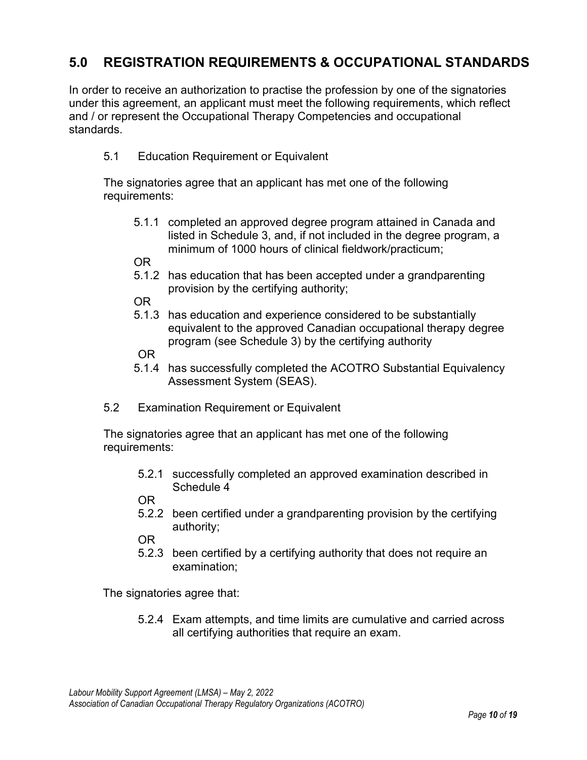## 5.0 REGISTRATION REQUIREMENTS & OCCUPATIONAL STANDARDS

In order to receive an authorization to practise the profession by one of the signatories under this agreement, an applicant must meet the following requirements, which reflect and / or represent the Occupational Therapy Competencies and occupational standards.

#### 5.1 Education Requirement or Equivalent

The signatories agree that an applicant has met one of the following requirements:

5.1.1 completed an approved degree program attained in Canada and listed in Schedule 3, and, if not included in the degree program, a minimum of 1000 hours of clinical fieldwork/practicum;

OR

5.1.2 has education that has been accepted under a grandparenting provision by the certifying authority;

OR

5.1.3 has education and experience considered to be substantially equivalent to the approved Canadian occupational therapy degree program (see Schedule 3) by the certifying authority

OR

- 5.1.4 has successfully completed the ACOTRO Substantial Equivalency Assessment System (SEAS).
- 5.2 Examination Requirement or Equivalent

The signatories agree that an applicant has met one of the following requirements:

5.2.1 successfully completed an approved examination described in Schedule 4

OR

5.2.2 been certified under a grandparenting provision by the certifying authority;

OR

5.2.3 been certified by a certifying authority that does not require an examination;

The signatories agree that:

5.2.4 Exam attempts, and time limits are cumulative and carried across all certifying authorities that require an exam.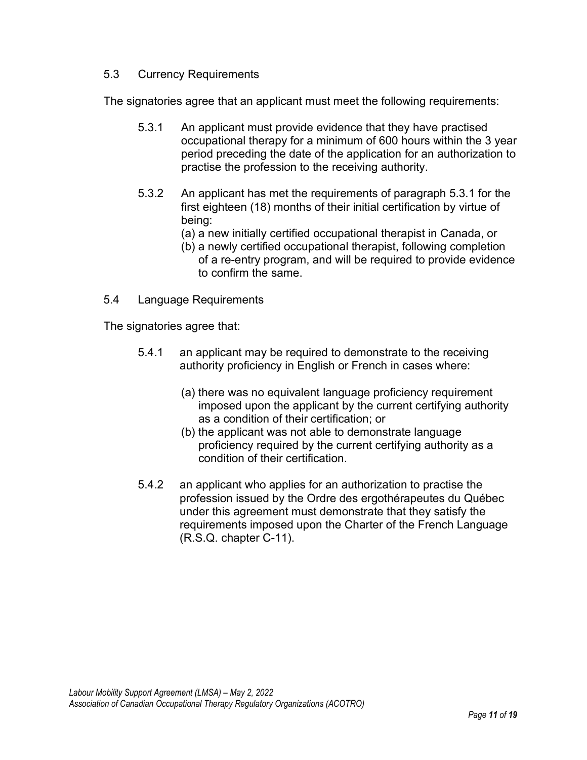#### 5.3 Currency Requirements

The signatories agree that an applicant must meet the following requirements:

- 5.3.1 An applicant must provide evidence that they have practised occupational therapy for a minimum of 600 hours within the 3 year period preceding the date of the application for an authorization to practise the profession to the receiving authority.
- 5.3.2 An applicant has met the requirements of paragraph 5.3.1 for the first eighteen (18) months of their initial certification by virtue of being:
	- (a) a new initially certified occupational therapist in Canada, or
	- (b) a newly certified occupational therapist, following completion of a re-entry program, and will be required to provide evidence to confirm the same.
- 5.4 Language Requirements

The signatories agree that:

- 5.4.1 an applicant may be required to demonstrate to the receiving authority proficiency in English or French in cases where:
	- (a) there was no equivalent language proficiency requirement imposed upon the applicant by the current certifying authority as a condition of their certification; or
	- (b) the applicant was not able to demonstrate language proficiency required by the current certifying authority as a condition of their certification.
- 5.4.2 an applicant who applies for an authorization to practise the profession issued by the Ordre des ergothérapeutes du Québec under this agreement must demonstrate that they satisfy the requirements imposed upon the Charter of the French Language (R.S.Q. chapter C-11).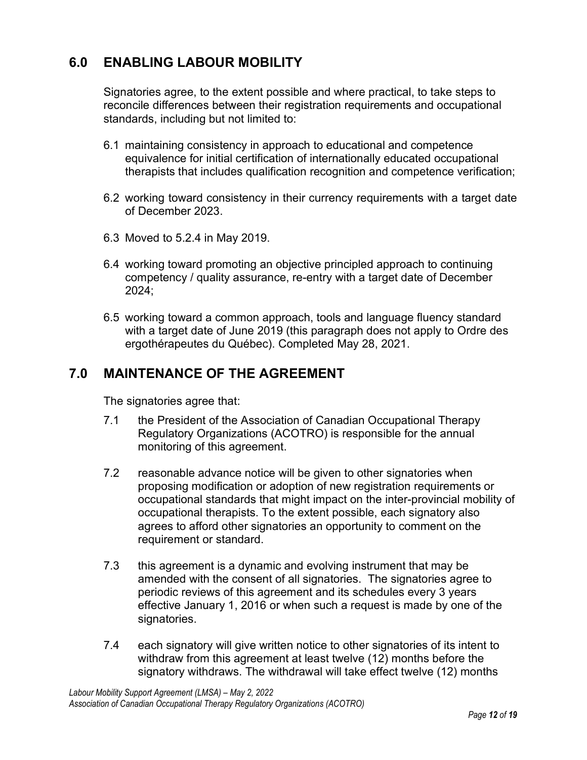## 6.0 ENABLING LABOUR MOBILITY

Signatories agree, to the extent possible and where practical, to take steps to reconcile differences between their registration requirements and occupational standards, including but not limited to:

- 6.1 maintaining consistency in approach to educational and competence equivalence for initial certification of internationally educated occupational therapists that includes qualification recognition and competence verification;
- 6.2 working toward consistency in their currency requirements with a target date of December 2023.
- 6.3 Moved to 5.2.4 in May 2019.
- 6.4 working toward promoting an objective principled approach to continuing competency / quality assurance, re-entry with a target date of December 2024;
- 6.5 working toward a common approach, tools and language fluency standard with a target date of June 2019 (this paragraph does not apply to Ordre des ergothérapeutes du Québec). Completed May 28, 2021.

#### 7.0 MAINTENANCE OF THE AGREEMENT

The signatories agree that:

- 7.1 the President of the Association of Canadian Occupational Therapy Regulatory Organizations (ACOTRO) is responsible for the annual monitoring of this agreement.
- 7.2 reasonable advance notice will be given to other signatories when proposing modification or adoption of new registration requirements or occupational standards that might impact on the inter-provincial mobility of occupational therapists. To the extent possible, each signatory also agrees to afford other signatories an opportunity to comment on the requirement or standard.
- 7.3 this agreement is a dynamic and evolving instrument that may be amended with the consent of all signatories. The signatories agree to periodic reviews of this agreement and its schedules every 3 years effective January 1, 2016 or when such a request is made by one of the signatories.
- 7.4 each signatory will give written notice to other signatories of its intent to withdraw from this agreement at least twelve (12) months before the signatory withdraws. The withdrawal will take effect twelve (12) months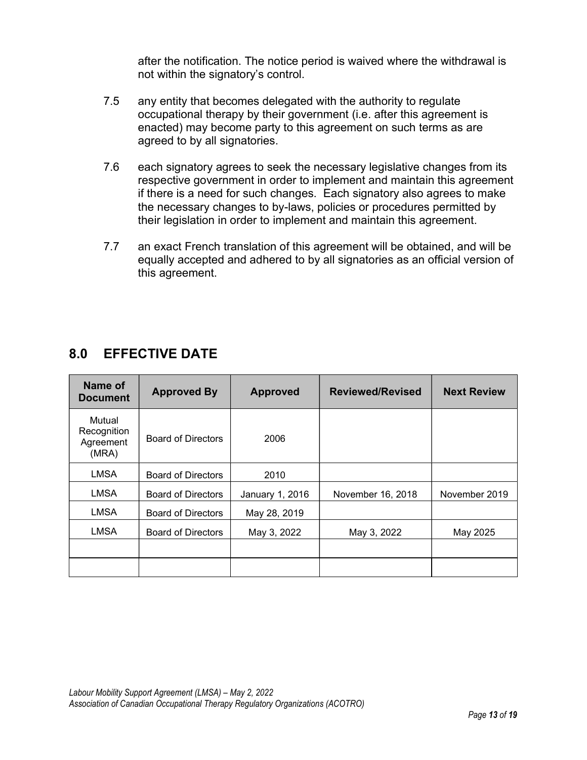after the notification. The notice period is waived where the withdrawal is not within the signatory's control.

- 7.5 any entity that becomes delegated with the authority to regulate occupational therapy by their government (i.e. after this agreement is enacted) may become party to this agreement on such terms as are agreed to by all signatories.
- 7.6 each signatory agrees to seek the necessary legislative changes from its respective government in order to implement and maintain this agreement if there is a need for such changes. Each signatory also agrees to make the necessary changes to by-laws, policies or procedures permitted by their legislation in order to implement and maintain this agreement.
- 7.7 an exact French translation of this agreement will be obtained, and will be equally accepted and adhered to by all signatories as an official version of this agreement.

| Name of<br><b>Document</b>                  | <b>Approved By</b>        | <b>Approved</b> | <b>Reviewed/Revised</b> | <b>Next Review</b> |
|---------------------------------------------|---------------------------|-----------------|-------------------------|--------------------|
| Mutual<br>Recognition<br>Agreement<br>(MRA) | <b>Board of Directors</b> | 2006            |                         |                    |
| <b>LMSA</b>                                 | <b>Board of Directors</b> | 2010            |                         |                    |
| <b>LMSA</b>                                 | <b>Board of Directors</b> | January 1, 2016 | November 16, 2018       | November 2019      |
| <b>LMSA</b>                                 | <b>Board of Directors</b> | May 28, 2019    |                         |                    |
| LMSA                                        | <b>Board of Directors</b> | May 3, 2022     | May 3, 2022             | May 2025           |
|                                             |                           |                 |                         |                    |
|                                             |                           |                 |                         |                    |

## 8.0 EFFECTIVE DATE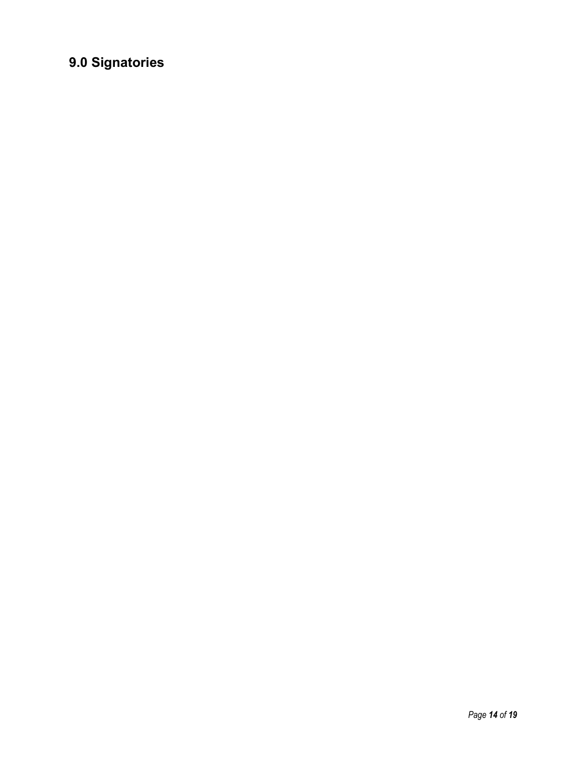## 9.0 Signatories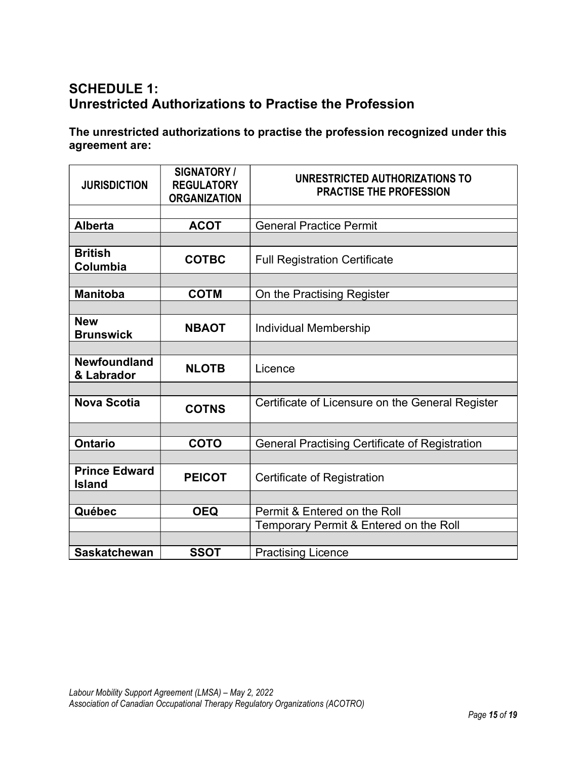## SCHEDULE 1: Unrestricted Authorizations to Practise the Profession

The unrestricted authorizations to practise the profession recognized under this agreement are:

| <b>JURISDICTION</b>                   | <b>SIGNATORY /</b><br><b>REGULATORY</b><br><b>ORGANIZATION</b> | UNRESTRICTED AUTHORIZATIONS TO<br><b>PRACTISE THE PROFESSION</b> |
|---------------------------------------|----------------------------------------------------------------|------------------------------------------------------------------|
|                                       |                                                                |                                                                  |
| <b>Alberta</b>                        | <b>ACOT</b>                                                    | <b>General Practice Permit</b>                                   |
|                                       |                                                                |                                                                  |
| <b>British</b><br>Columbia            | <b>COTBC</b>                                                   | <b>Full Registration Certificate</b>                             |
|                                       |                                                                |                                                                  |
| <b>Manitoba</b>                       | <b>COTM</b>                                                    | On the Practising Register                                       |
|                                       |                                                                |                                                                  |
| <b>New</b><br><b>Brunswick</b>        | <b>NBAOT</b>                                                   | <b>Individual Membership</b>                                     |
|                                       |                                                                |                                                                  |
| <b>Newfoundland</b><br>& Labrador     | <b>NLOTB</b>                                                   | Licence                                                          |
|                                       |                                                                |                                                                  |
| <b>Nova Scotia</b>                    | <b>COTNS</b>                                                   | Certificate of Licensure on the General Register                 |
|                                       |                                                                |                                                                  |
| <b>Ontario</b>                        | <b>COTO</b>                                                    | <b>General Practising Certificate of Registration</b>            |
|                                       |                                                                |                                                                  |
| <b>Prince Edward</b><br><b>Island</b> | <b>PEICOT</b>                                                  | Certificate of Registration                                      |
|                                       |                                                                |                                                                  |
| Québec                                | <b>OEQ</b>                                                     | Permit & Entered on the Roll                                     |
|                                       |                                                                | Temporary Permit & Entered on the Roll                           |
|                                       |                                                                |                                                                  |
| <b>Saskatchewan</b>                   | <b>SSOT</b>                                                    | <b>Practising Licence</b>                                        |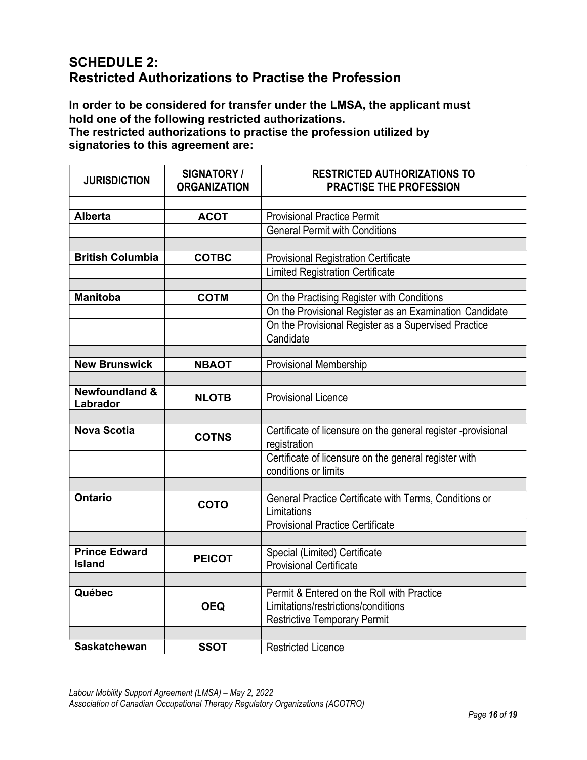## SCHEDULE 2: Restricted Authorizations to Practise the Profession

In order to be considered for transfer under the LMSA, the applicant must hold one of the following restricted authorizations.

The restricted authorizations to practise the profession utilized by signatories to this agreement are:

| <b>JURISDICTION</b>                   | SIGNATORY /<br><b>ORGANIZATION</b> | <b>RESTRICTED AUTHORIZATIONS TO</b><br><b>PRACTISE THE PROFESSION</b>                                                    |
|---------------------------------------|------------------------------------|--------------------------------------------------------------------------------------------------------------------------|
|                                       |                                    |                                                                                                                          |
| <b>Alberta</b>                        | <b>ACOT</b>                        | <b>Provisional Practice Permit</b>                                                                                       |
|                                       |                                    | <b>General Permit with Conditions</b>                                                                                    |
|                                       |                                    |                                                                                                                          |
| <b>British Columbia</b>               | <b>COTBC</b>                       | <b>Provisional Registration Certificate</b>                                                                              |
|                                       |                                    | <b>Limited Registration Certificate</b>                                                                                  |
|                                       |                                    |                                                                                                                          |
| <b>Manitoba</b>                       | <b>COTM</b>                        | On the Practising Register with Conditions                                                                               |
|                                       |                                    | On the Provisional Register as an Examination Candidate                                                                  |
|                                       |                                    | On the Provisional Register as a Supervised Practice                                                                     |
|                                       |                                    | Candidate                                                                                                                |
|                                       |                                    |                                                                                                                          |
| <b>New Brunswick</b>                  | <b>NBAOT</b>                       | <b>Provisional Membership</b>                                                                                            |
|                                       |                                    |                                                                                                                          |
| <b>Newfoundland &amp;</b><br>Labrador | <b>NLOTB</b>                       | <b>Provisional Licence</b>                                                                                               |
|                                       |                                    |                                                                                                                          |
| <b>Nova Scotia</b>                    | <b>COTNS</b>                       | Certificate of licensure on the general register -provisional<br>registration                                            |
|                                       |                                    | Certificate of licensure on the general register with<br>conditions or limits                                            |
|                                       |                                    |                                                                                                                          |
| <b>Ontario</b>                        | <b>COTO</b>                        | General Practice Certificate with Terms, Conditions or<br>Limitations                                                    |
|                                       |                                    | <b>Provisional Practice Certificate</b>                                                                                  |
|                                       |                                    |                                                                                                                          |
| <b>Prince Edward</b><br><b>Island</b> | <b>PEICOT</b>                      | Special (Limited) Certificate<br><b>Provisional Certificate</b>                                                          |
|                                       |                                    |                                                                                                                          |
| Québec                                | <b>OEQ</b>                         | Permit & Entered on the Roll with Practice<br>Limitations/restrictions/conditions<br><b>Restrictive Temporary Permit</b> |
|                                       |                                    |                                                                                                                          |
| <b>Saskatchewan</b>                   | <b>SSOT</b>                        | <b>Restricted Licence</b>                                                                                                |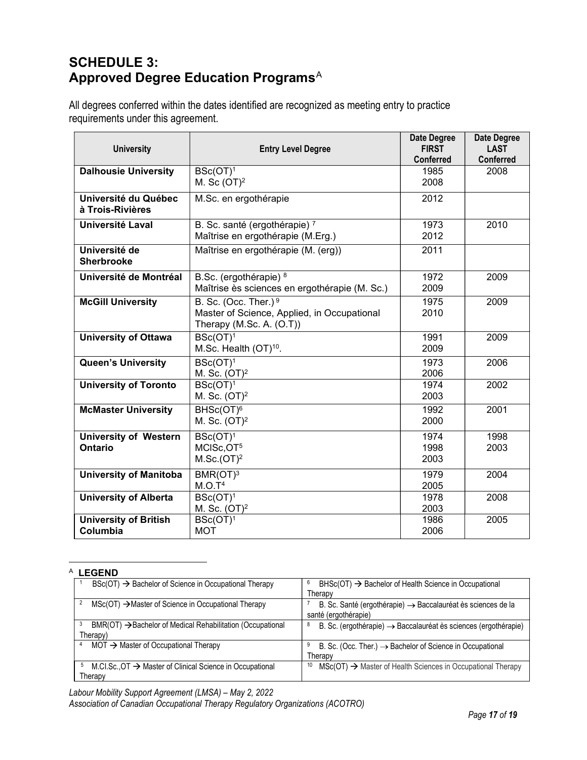## SCHEDULE 3: Approved Degree Education Programs<sup>A</sup>

All degrees conferred within the dates identified are recognized as meeting entry to practice requirements under this agreement.

| <b>University</b>                        | <b>Entry Level Degree</b>                                               | <b>Date Degree</b><br><b>FIRST</b> | <b>Date Degree</b><br><b>LAST</b> |
|------------------------------------------|-------------------------------------------------------------------------|------------------------------------|-----------------------------------|
|                                          |                                                                         | <b>Conferred</b>                   | Conferred                         |
| <b>Dalhousie University</b>              | $\overline{\text{BSc}(\text{OT})^1}$                                    | 1985                               | 2008                              |
|                                          | M. Sc $(OT)^2$                                                          | 2008                               |                                   |
| Université du Québec<br>à Trois-Rivières | M.Sc. en ergothérapie                                                   | 2012                               |                                   |
| Université Laval                         | B. Sc. santé (ergothérapie) 7                                           | 1973                               | 2010                              |
|                                          | Maîtrise en ergothérapie (M.Erg.)                                       | 2012                               |                                   |
| Université de<br><b>Sherbrooke</b>       | Maîtrise en ergothérapie (M. (erg))                                     | 2011                               |                                   |
| Université de Montréal                   | B.Sc. (ergothérapie) 8                                                  | 1972                               | 2009                              |
|                                          | Maîtrise ès sciences en ergothérapie (M. Sc.)                           | 2009                               |                                   |
| <b>McGill University</b>                 | B. Sc. (Occ. Ther.) 9                                                   | 1975                               | 2009                              |
|                                          | Master of Science, Applied, in Occupational<br>Therapy (M.Sc. A. (O.T)) | 2010                               |                                   |
| <b>University of Ottawa</b>              | $BSc(OT)^1$                                                             | 1991                               | 2009                              |
|                                          | M.Sc. Health (OT) <sup>10</sup> .                                       | 2009                               |                                   |
| <b>Queen's University</b>                | $BSc(OT)^1$<br>M. Sc. (OT) <sup>2</sup>                                 | 1973<br>2006                       | 2006                              |
| <b>University of Toronto</b>             | $BSc(OT)^1$                                                             | 1974                               | 2002                              |
|                                          | M. Sc. (OT) <sup>2</sup>                                                | 2003                               |                                   |
| <b>McMaster University</b>               | BHSc(OT) <sup>6</sup>                                                   | 1992                               | 2001                              |
|                                          | M. Sc. (OT) <sup>2</sup>                                                | 2000                               |                                   |
| <b>University of Western</b>             | $BSc(OT)^1$                                                             | 1974                               | 1998                              |
| <b>Ontario</b>                           | MCISc, OT <sup>5</sup>                                                  | 1998                               | 2003                              |
|                                          | M.Sc.(OT) <sup>2</sup>                                                  | 2003                               |                                   |
| <b>University of Manitoba</b>            | BMR(OT) <sup>3</sup>                                                    | 1979                               | 2004                              |
|                                          | M.O.T <sup>4</sup>                                                      | 2005                               |                                   |
| <b>University of Alberta</b>             | $BSc(OT)^1$                                                             | 1978                               | 2008                              |
|                                          | M. Sc. (OT) <sup>2</sup>                                                | 2003                               |                                   |
| University of British                    | $BSc(OT)^1$                                                             | 1986                               | 2005                              |
| Columbia                                 | <b>MOT</b>                                                              | 2006                               |                                   |

#### <sup>A</sup> LEGEND

| $BSc(OT) \rightarrow$ Bachelor of Science in Occupational Therapy                         | 6<br>$BHSc(OT)$ $\rightarrow$ Bachelor of Health Science in Occupational                            |
|-------------------------------------------------------------------------------------------|-----------------------------------------------------------------------------------------------------|
|                                                                                           | Therapy                                                                                             |
| $\text{MSC}(\text{OT}) \rightarrow \text{Master}$ of Science in Occupational Therapy<br>2 | B. Sc. Santé (ergothérapie) $\rightarrow$ Baccalauréat ès sciences de la                            |
|                                                                                           | santé (ergothérapie)                                                                                |
| 3<br>$BMR(OT) \rightarrow$ Bachelor of Medical Rehabilitation (Occupational               | B. Sc. (ergothérapie) $\rightarrow$ Baccalauréat ès sciences (ergothérapie)<br>8                    |
| Therapy)                                                                                  |                                                                                                     |
| $MOT \rightarrow$ Master of Occupational Therapy                                          | B. Sc. (Occ. Ther.) $\rightarrow$ Bachelor of Science in Occupational<br>9                          |
|                                                                                           | Therapy                                                                                             |
| M.Cl.Sc., $OT \rightarrow$ Master of Clinical Science in Occupational<br>5                | $\text{MSC}(\text{OT}) \rightarrow \text{Master}$ of Health Sciences in Occupational Therapy<br>-10 |
| Therapy                                                                                   |                                                                                                     |
|                                                                                           |                                                                                                     |

Labour Mobility Support Agreement (LMSA) – May 2, 2022 Association of Canadian Occupational Therapy Regulatory Organizations (ACOTRO)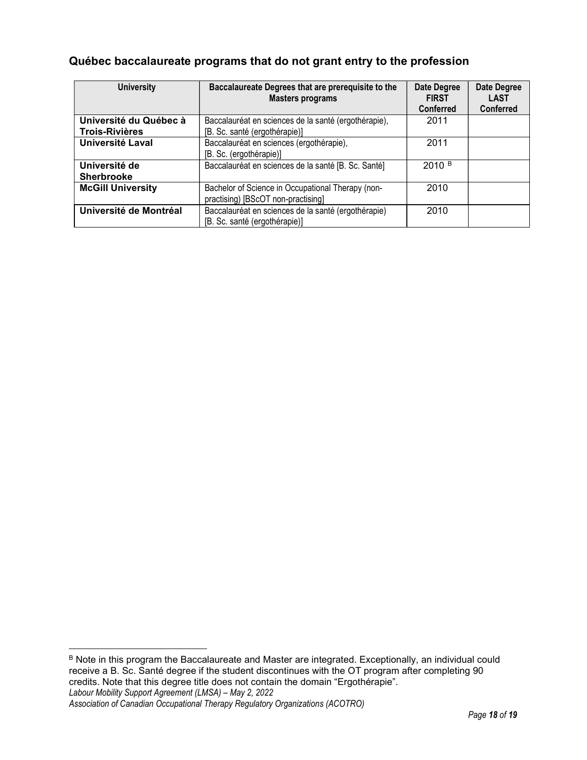#### Québec baccalaureate programs that do not grant entry to the profession

| <b>University</b>        | Baccalaureate Degrees that are prerequisite to the<br><b>Masters programs</b> | Date Degree<br><b>FIRST</b><br><b>Conferred</b> | Date Degree<br><b>LAST</b><br><b>Conferred</b> |
|--------------------------|-------------------------------------------------------------------------------|-------------------------------------------------|------------------------------------------------|
| Université du Québec à   | Baccalauréat en sciences de la santé (ergothérapie),                          | 2011                                            |                                                |
| <b>Trois-Rivières</b>    | [B. Sc. santé (ergothérapie)]                                                 |                                                 |                                                |
| Université Laval         | Baccalauréat en sciences (ergothérapie),                                      | 2011                                            |                                                |
|                          | [B. Sc. (ergothérapie)]                                                       |                                                 |                                                |
| Université de            | Baccalauréat en sciences de la santé [B. Sc. Santé]                           | 2010 <sup>B</sup>                               |                                                |
| <b>Sherbrooke</b>        |                                                                               |                                                 |                                                |
| <b>McGill University</b> | Bachelor of Science in Occupational Therapy (non-                             | 2010                                            |                                                |
|                          | practising) [BScOT non-practising]                                            |                                                 |                                                |
| Université de Montréal   | Baccalauréat en sciences de la santé (ergothérapie)                           | 2010                                            |                                                |
|                          | [B. Sc. santé (ergothérapie)]                                                 |                                                 |                                                |

Labour Mobility Support Agreement (LMSA) – May 2, 2022 Association of Canadian Occupational Therapy Regulatory Organizations (ACOTRO) B Note in this program the Baccalaureate and Master are integrated. Exceptionally, an individual could receive a B. Sc. Santé degree if the student discontinues with the OT program after completing 90 credits. Note that this degree title does not contain the domain "Ergothérapie".